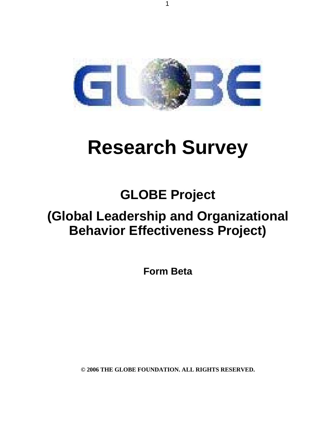

# **Research Survey**

## **GLOBE Project**

## **(Global Leadership and Organizational Behavior Effectiveness Project)**

**Form Beta** 

**© 2006 THE GLOBE FOUNDATION. ALL RIGHTS RESERVED.**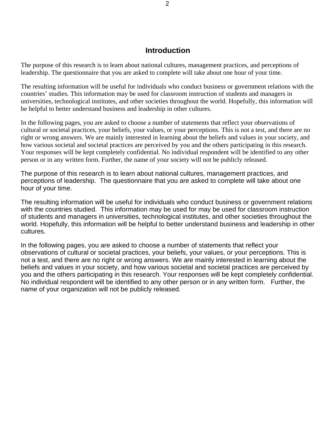### **Introduction**

The purpose of this research is to learn about national cultures, management practices, and perceptions of leadership. The questionnaire that you are asked to complete will take about one hour of your time.

The resulting information will be useful for individuals who conduct business or government relations with the countries' studies. This information may be used for classroom instruction of students and managers in universities, technological institutes, and other societies throughout the world. Hopefully, this information will be helpful to better understand business and leadership in other cultures.

In the following pages, you are asked to choose a number of statements that reflect your observations of cultural or societal practices, your beliefs, your values, or your perceptions. This is not a test, and there are no right or wrong answers. We are mainly interested in learning about the beliefs and values in your society, and how various societal and societal practices are perceived by you and the others participating in this research. Your responses will be kept completely confidential. No individual respondent will be identified to any other person or in any written form. Further, the name of your society will not be publicly released.

The purpose of this research is to learn about national cultures, management practices, and perceptions of leadership. The questionnaire that you are asked to complete will take about one hour of your time.

The resulting information will be useful for individuals who conduct business or government relations with the countries studied. This information may be used for may be used for classroom instruction of students and managers in universities, technological institutes, and other societies throughout the world. Hopefully, this information will be helpful to better understand business and leadership in other cultures.

In the following pages, you are asked to choose a number of statements that reflect your observations of cultural or societal practices, your beliefs, your values, or your perceptions. This is not a test, and there are no right or wrong answers. We are mainly interested in learning about the beliefs and values in your society, and how various societal and societal practices are perceived by you and the others participating in this research. Your responses will be kept completely confidential. No individual respondent will be identified to any other person or in any written form. Further, the name of your organization will not be publicly released.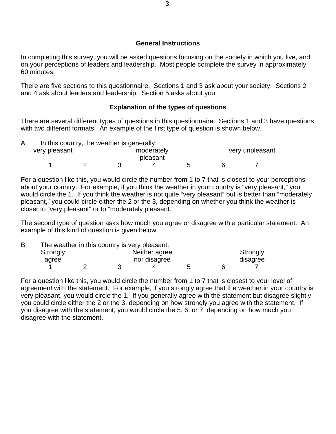### **General Instructions**

In completing this survey, you will be asked questions focusing on the society in which you live, and on your perceptions of leaders and leadership. Most people complete the survey in approximately 60 minutes.

There are five sections to this questionnaire. Sections 1 and 3 ask about your society. Sections 2 and 4 ask about leaders and leadership. Section 5 asks about you.

### **Explanation of the types of questions**

There are several different types of questions in this questionnaire. Sections 1 and 3 have questions with two different formats. An example of the first type of question is shown below.

| In this country, the weather is generally: |            |          |  |                 |  |  |
|--------------------------------------------|------------|----------|--|-----------------|--|--|
| very pleasant                              | moderately |          |  | very unpleasant |  |  |
|                                            |            | pleasant |  |                 |  |  |
|                                            |            |          |  |                 |  |  |

For a question like this, you would circle the number from 1 to 7 that is closest to your perceptions about your country. For example, if you think the weather in your country is "very pleasant," you would circle the 1. If you think the weather is not quite "very pleasant" but is better than "moderately pleasant," you could circle either the 2 or the 3, depending on whether you think the weather is closer to "very pleasant" or to "moderately pleasant."

The second type of question asks how much you agree or disagree with a particular statement. An example of this kind of question is given below.

| В. | The weather in this country is very pleasant. |  |  |               |  |          |  |  |
|----|-----------------------------------------------|--|--|---------------|--|----------|--|--|
|    | Strongly                                      |  |  | Neither agree |  | Strongly |  |  |
|    | agree                                         |  |  | nor disagree  |  | disagree |  |  |
|    |                                               |  |  |               |  |          |  |  |

For a question like this, you would circle the number from 1 to 7 that is closest to your level of agreement with the statement. For example, if you strongly agree that the weather in your country is very pleasant, you would circle the 1. If you generally agree with the statement but disagree slightly, you could circle either the 2 or the 3, depending on how strongly you agree with the statement. If you disagree with the statement, you would circle the 5, 6, or 7, depending on how much you disagree with the statement.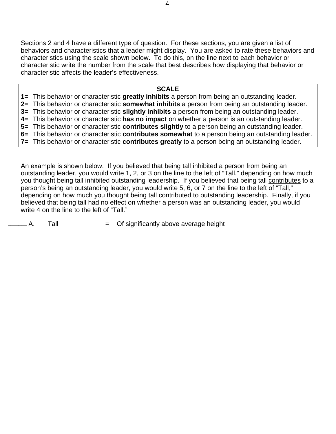Sections 2 and 4 have a different type of question. For these sections, you are given a list of behaviors and characteristics that a leader might display. You are asked to rate these behaviors and characteristics using the scale shown below. To do this, on the line next to each behavior or characteristic write the number from the scale that best describes how displaying that behavior or characteristic affects the leader's effectiveness.

### **SCALE**

**1=** This behavior or characteristic **greatly inhibits** a person from being an outstanding leader.

**2=** This behavior or characteristic **somewhat inhibits** a person from being an outstanding leader.

**3=** This behavior or characteristic **slightly inhibits** a person from being an outstanding leader.

**4=** This behavior or characteristic **has no impact** on whether a person is an outstanding leader.

**5=** This behavior or characteristic **contributes slightly** to a person being an outstanding leader. **6=** This behavior or characteristic **contributes somewhat** to a person being an outstanding leader.

**7=** This behavior or characteristic **contributes greatly** to a person being an outstanding leader.

An example is shown below. If you believed that being tall inhibited a person from being an outstanding leader, you would write 1, 2, or 3 on the line to the left of "Tall," depending on how much you thought being tall inhibited outstanding leadership. If you believed that being tall contributes to a person's being an outstanding leader, you would write 5, 6, or 7 on the line to the left of "Tall," depending on how much you thought being tall contributed to outstanding leadership. Finally, if you believed that being tall had no effect on whether a person was an outstanding leader, you would write 4 on the line to the left of "Tall."

 $A.$  Tall  $=$  Of significantly above average height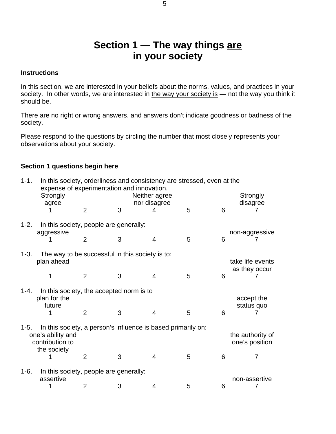### **Section 1 — The way things are in your society**

### **Instructions**

In this section, we are interested in your beliefs about the norms, values, and practices in your society. In other words, we are interested in the way your society is — not the way you think it should be.

There are no right or wrong answers, and answers don't indicate goodness or badness of the society.

Please respond to the questions by circling the number that most closely represents your observations about your society.

### **Section 1 questions begin here**

| $1 - 1.$ | In this society, orderliness and consistency are stressed, even at the<br>expense of experimentation and innovation.<br>Strongly<br>agree |                                   | Strongly<br>disagree |                   |   |   |                    |  |
|----------|-------------------------------------------------------------------------------------------------------------------------------------------|-----------------------------------|----------------------|-------------------|---|---|--------------------|--|
|          |                                                                                                                                           | $\overline{2}$                    | 3                    | nor disagree<br>4 | 5 | 6 |                    |  |
| $1 - 2.$ | In this society, people are generally:<br>aggressive                                                                                      | non-aggressive                    |                      |                   |   |   |                    |  |
|          |                                                                                                                                           | $\overline{2}$                    | 3                    | 4                 | 5 | 6 |                    |  |
| $1 - 3.$ | The way to be successful in this society is to:<br>plan ahead                                                                             | take life events<br>as they occur |                      |                   |   |   |                    |  |
|          |                                                                                                                                           | $\overline{2}$                    | 3                    | 4                 | 5 | 6 |                    |  |
| $1 - 4.$ | In this society, the accepted norm is to<br>plan for the<br>future                                                                        | accept the<br>status quo          |                      |                   |   |   |                    |  |
|          |                                                                                                                                           | $\overline{2}$                    | 3                    | 4                 | 5 | 6 |                    |  |
| $1 - 5.$ | In this society, a person's influence is based primarily on:<br>one's ability and<br>contribution to                                      |                                   |                      |                   |   |   |                    |  |
|          | the society                                                                                                                               | $\overline{2}$                    | 3                    | 4                 | 5 | 6 | 7                  |  |
| $1-6.$   | In this society, people are generally:                                                                                                    |                                   |                      |                   |   |   |                    |  |
|          | assertive                                                                                                                                 | 2                                 | 3                    | 4                 | 5 | 6 | non-assertive<br>7 |  |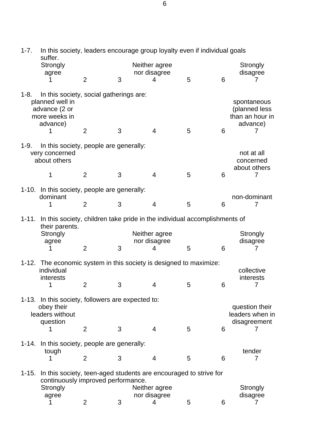| $1 - 7.$<br>In this society, leaders encourage group loyalty even if individual goals<br>suffer. |                                                                                                          |                |   |                               |   |   |                                                             |  |
|--------------------------------------------------------------------------------------------------|----------------------------------------------------------------------------------------------------------|----------------|---|-------------------------------|---|---|-------------------------------------------------------------|--|
|                                                                                                  | Strongly<br>agree                                                                                        |                |   | Neither agree<br>nor disagree |   |   | Strongly<br>disagree                                        |  |
|                                                                                                  |                                                                                                          | $\overline{2}$ | 3 | 4                             | 5 | 6 | 7                                                           |  |
| $1 - 8.$                                                                                         | In this society, social gatherings are:<br>planned well in<br>advance (2 or<br>more weeks in<br>advance) |                |   |                               |   |   | spontaneous<br>(planned less<br>than an hour in<br>advance) |  |
|                                                                                                  | 1                                                                                                        | $\overline{2}$ | 3 | $\overline{4}$                | 5 | 6 | 7                                                           |  |
| $1-9.$                                                                                           | In this society, people are generally:<br>very concerned<br>about others                                 |                |   |                               |   |   | not at all<br>concerned<br>about others                     |  |
|                                                                                                  | 1                                                                                                        | $\overline{2}$ | 3 | 4                             | 5 | 6 | 7                                                           |  |
|                                                                                                  | 1-10. In this society, people are generally:<br>dominant                                                 |                |   |                               |   |   | non-dominant                                                |  |
|                                                                                                  | 1                                                                                                        | $\overline{2}$ | 3 | $\overline{4}$                | 5 | 6 | 7                                                           |  |
| $1 - 11.$                                                                                        | In this society, children take pride in the individual accomplishments of<br>their parents.              |                |   |                               |   |   |                                                             |  |
|                                                                                                  | Strongly<br>agree                                                                                        |                |   | Neither agree<br>nor disagree |   |   | Strongly<br>disagree                                        |  |
|                                                                                                  | 1                                                                                                        | $\overline{2}$ | 3 | 4                             | 5 | 6 | 7                                                           |  |
| 1-12. The economic system in this society is designed to maximize:<br>individual<br>collective   |                                                                                                          |                |   |                               |   |   |                                                             |  |
|                                                                                                  |                                                                                                          |                |   |                               |   |   |                                                             |  |
|                                                                                                  | interests<br>1                                                                                           | 2              | 3 | 4                             | 5 | 6 | interests<br>7                                              |  |
|                                                                                                  | 1-13. In this society, followers are expected to:                                                        |                |   |                               |   |   |                                                             |  |
|                                                                                                  | obey their<br>leaders without                                                                            |                |   |                               |   |   | question their<br>leaders when in                           |  |
|                                                                                                  | question<br>1                                                                                            | $\overline{2}$ | 3 | $\overline{4}$                | 5 | 6 | disagreement<br>7                                           |  |
|                                                                                                  | 1-14. In this society, people are generally:                                                             |                |   |                               |   |   |                                                             |  |
|                                                                                                  | tough<br>1                                                                                               | $\overline{2}$ | 3 | $\overline{4}$                | 5 | 6 | tender<br>7                                                 |  |
| $1 - 15.$                                                                                        | In this society, teen-aged students are encouraged to strive for<br>continuously improved performance.   |                |   |                               |   |   |                                                             |  |
|                                                                                                  | Strongly<br>agree                                                                                        |                |   | Neither agree<br>nor disagree |   |   | Strongly<br>disagree                                        |  |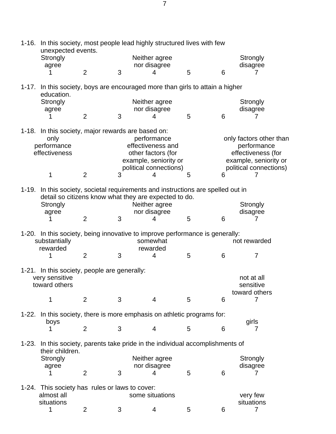|           | 1-16. In this society, most people lead highly structured lives with few<br>unexpected events.                                                                                     |                |   |                                                                                                      |   |   |                                                              |  |  |
|-----------|------------------------------------------------------------------------------------------------------------------------------------------------------------------------------------|----------------|---|------------------------------------------------------------------------------------------------------|---|---|--------------------------------------------------------------|--|--|
|           | Strongly                                                                                                                                                                           |                |   | Neither agree                                                                                        |   |   | Strongly                                                     |  |  |
|           | agree                                                                                                                                                                              |                |   | nor disagree                                                                                         |   |   | disagree                                                     |  |  |
|           |                                                                                                                                                                                    | $\overline{2}$ | 3 | 4                                                                                                    | 5 | 6 |                                                              |  |  |
| $1 - 17.$ |                                                                                                                                                                                    |                |   | In this society, boys are encouraged more than girls to attain a higher                              |   |   |                                                              |  |  |
|           | education.<br>Strongly                                                                                                                                                             |                |   | Neither agree                                                                                        |   |   | Strongly                                                     |  |  |
|           | agree                                                                                                                                                                              |                |   | nor disagree                                                                                         |   |   | disagree                                                     |  |  |
|           |                                                                                                                                                                                    | $\overline{2}$ | 3 | 4                                                                                                    | 5 | 6 | 7                                                            |  |  |
|           |                                                                                                                                                                                    |                |   |                                                                                                      |   |   |                                                              |  |  |
|           | 1-18. In this society, major rewards are based on:<br>only<br>performance<br>effectiveness                                                                                         |                |   | performance<br>effectiveness and<br>other factors (for                                               |   |   | only factors other than<br>performance<br>effectiveness (for |  |  |
|           |                                                                                                                                                                                    |                |   | example, seniority or                                                                                |   |   | example, seniority or                                        |  |  |
|           |                                                                                                                                                                                    |                |   | political connections)                                                                               |   |   | political connections)                                       |  |  |
|           | 1                                                                                                                                                                                  | $\overline{2}$ | 3 | 4                                                                                                    | 5 | 6 | 7                                                            |  |  |
|           |                                                                                                                                                                                    |                |   |                                                                                                      |   |   |                                                              |  |  |
|           | 1-19. In this society, societal requirements and instructions are spelled out in<br>detail so citizens know what they are expected to do.<br>Neither agree<br>Strongly<br>Strongly |                |   |                                                                                                      |   |   |                                                              |  |  |
|           | agree                                                                                                                                                                              |                |   | nor disagree                                                                                         |   |   | disagree                                                     |  |  |
|           | 1                                                                                                                                                                                  | $\overline{2}$ | 3 | 4                                                                                                    | 5 | 6 | 7                                                            |  |  |
|           | substantially<br>rewarded                                                                                                                                                          |                |   | 1-20. In this society, being innovative to improve performance is generally:<br>somewhat<br>rewarded |   |   | not rewarded                                                 |  |  |
|           | 1                                                                                                                                                                                  | $\overline{2}$ | 3 | 4                                                                                                    | 5 | 6 | $\overline{7}$                                               |  |  |
|           | 1-21. In this society, people are generally:                                                                                                                                       |                |   |                                                                                                      |   |   |                                                              |  |  |
|           | very sensitive<br>toward others                                                                                                                                                    |                |   |                                                                                                      |   |   | not at all<br>sensitive<br>toward others                     |  |  |
|           | 1                                                                                                                                                                                  | $\overline{2}$ | 3 | $\overline{4}$                                                                                       | 5 | 6 | 7                                                            |  |  |
| 1-22.     |                                                                                                                                                                                    |                |   | In this society, there is more emphasis on athletic programs for:                                    |   |   |                                                              |  |  |
|           | boys<br>1                                                                                                                                                                          | $\overline{2}$ | 3 | $\overline{4}$                                                                                       | 5 | 6 | girls<br>7                                                   |  |  |
|           |                                                                                                                                                                                    |                |   |                                                                                                      |   |   |                                                              |  |  |
| $1 - 23.$ | their children.                                                                                                                                                                    |                |   | In this society, parents take pride in the individual accomplishments of                             |   |   |                                                              |  |  |
|           | Strongly                                                                                                                                                                           |                |   | Neither agree                                                                                        |   |   | Strongly                                                     |  |  |
|           | agree                                                                                                                                                                              |                |   | nor disagree                                                                                         |   |   | disagree                                                     |  |  |
|           |                                                                                                                                                                                    | $\overline{2}$ | 3 | 4                                                                                                    | 5 | 6 | 7                                                            |  |  |
| 1-24.     | This society has rules or laws to cover:<br>almost all<br>situations                                                                                                               |                |   | some situations                                                                                      |   |   | very few<br>situations                                       |  |  |
|           |                                                                                                                                                                                    |                |   |                                                                                                      |   |   |                                                              |  |  |
|           | 1                                                                                                                                                                                  | 2              | 3 | 4                                                                                                    | 5 | 6 | $\overline{7}$                                               |  |  |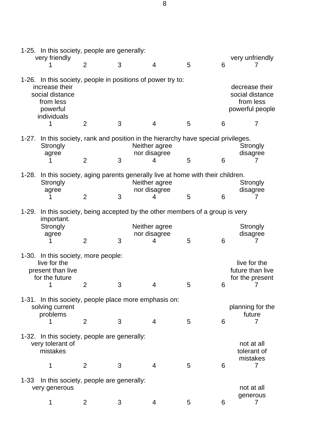|           |                                                                                                                                          | 1-25. In this society, people are generally: |   |                                    |   |   |                                                                   |  |  |
|-----------|------------------------------------------------------------------------------------------------------------------------------------------|----------------------------------------------|---|------------------------------------|---|---|-------------------------------------------------------------------|--|--|
|           | very friendly                                                                                                                            | $\overline{2}$                               | 3 | $\overline{4}$                     | 5 | 6 | very unfriendly                                                   |  |  |
|           | 1-26. In this society, people in positions of power try to:<br>increase their<br>social distance<br>from less<br>powerful<br>individuals |                                              |   |                                    |   |   | decrease their<br>social distance<br>from less<br>powerful people |  |  |
|           | 1                                                                                                                                        | $\overline{2}$                               | 3 | 4                                  | 5 | 6 | 7                                                                 |  |  |
|           | 1-27. In this society, rank and position in the hierarchy have special privileges.<br>Strongly<br>agree                                  |                                              |   | Neither agree<br>nor disagree      |   |   | Strongly<br>disagree                                              |  |  |
|           |                                                                                                                                          | 2                                            | 3 | 4                                  | 5 | 6 | 7                                                                 |  |  |
| $1 - 28.$ | In this society, aging parents generally live at home with their children.<br>Strongly<br>agree                                          | $\overline{2}$                               | 3 | Neither agree<br>nor disagree<br>4 | 5 | 6 | Strongly<br>disagree<br>7                                         |  |  |
|           |                                                                                                                                          |                                              |   |                                    |   |   |                                                                   |  |  |
|           | 1-29. In this society, being accepted by the other members of a group is very<br>important.<br>Strongly<br>agree                         | $\overline{2}$                               | 3 | Neither agree<br>nor disagree<br>4 | 5 | 6 | Strongly<br>disagree<br>7                                         |  |  |
|           | 1-30. In this society, more people:<br>live for the<br>present than live<br>for the future<br>1                                          | 2                                            | 3 | 4                                  | 5 | 6 | live for the<br>future than live<br>for the present<br>7          |  |  |
|           |                                                                                                                                          |                                              |   |                                    |   |   |                                                                   |  |  |
|           | 1-31. In this society, people place more emphasis on:<br>solving current<br>problems<br>1                                                | 2                                            | 3 | 4                                  | 5 | 6 | planning for the<br>future<br>7                                   |  |  |
|           | 1-32. In this society, people are generally:<br>very tolerant of<br>mistakes                                                             |                                              |   |                                    |   |   | not at all<br>tolerant of                                         |  |  |
|           | 1                                                                                                                                        | $\overline{2}$                               | 3 | $\overline{4}$                     | 5 | 6 | mistakes<br>7                                                     |  |  |
| $1 - 33$  | In this society, people are generally:<br>very generous                                                                                  |                                              |   |                                    |   |   | not at all                                                        |  |  |
|           | 1                                                                                                                                        | $\overline{2}$                               | 3 | 4                                  | 5 | 6 | generous<br>7                                                     |  |  |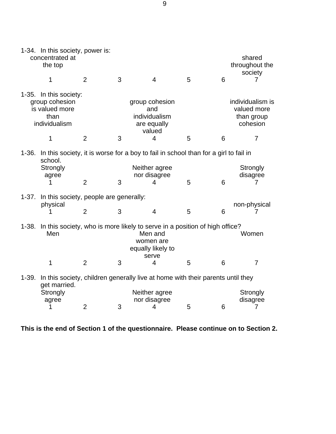|           | 1-34. In this society, power is:<br>concentrated at<br>the top                                                                          |                                                                                                                                                                                         |   |                                                                                   |   |   | shared<br>throughout the<br>society                                         |  |
|-----------|-----------------------------------------------------------------------------------------------------------------------------------------|-----------------------------------------------------------------------------------------------------------------------------------------------------------------------------------------|---|-----------------------------------------------------------------------------------|---|---|-----------------------------------------------------------------------------|--|
|           | 1                                                                                                                                       | $\overline{2}$                                                                                                                                                                          | 3 | $\overline{4}$                                                                    | 5 | 6 | 7                                                                           |  |
|           | 1-35. In this society:<br>group cohesion<br>is valued more<br>than<br>individualism<br>1                                                | 2                                                                                                                                                                                       | 3 | group cohesion<br>and<br>individualism<br>are equally<br>valued<br>$\overline{4}$ | 5 | 6 | individualism is<br>valued more<br>than group<br>cohesion<br>$\overline{7}$ |  |
| $1 - 36.$ | school.<br>Strongly<br>agree<br>1                                                                                                       | In this society, it is worse for a boy to fail in school than for a girl to fail in<br>Neither agree<br>Strongly<br>nor disagree<br>disagree<br>3<br>$\overline{2}$<br>5<br>6<br>4<br>7 |   |                                                                                   |   |   |                                                                             |  |
| $1 - 37.$ | In this society, people are generally:<br>physical                                                                                      | $\overline{2}$                                                                                                                                                                          | 3 | $\overline{4}$                                                                    | 5 | 6 | non-physical                                                                |  |
| $1 - 38.$ | In this society, who is more likely to serve in a position of high office?<br>Men<br>Men and<br>women are<br>equally likely to<br>serve |                                                                                                                                                                                         |   |                                                                                   |   |   | Women                                                                       |  |
|           | $\mathbf 1$                                                                                                                             | 2                                                                                                                                                                                       | 3 | 4                                                                                 | 5 | 6 | $\overline{7}$                                                              |  |
| $1 - 39.$ | get married.                                                                                                                            |                                                                                                                                                                                         |   | In this society, children generally live at home with their parents until they    |   |   |                                                                             |  |
|           | Strongly<br>agree<br>1                                                                                                                  | $\overline{2}$                                                                                                                                                                          | 3 | Neither agree<br>nor disagree<br>4                                                | 5 | 6 | Strongly<br>disagree<br>7                                                   |  |

**This is the end of Section 1 of the questionnaire. Please continue on to Section 2.**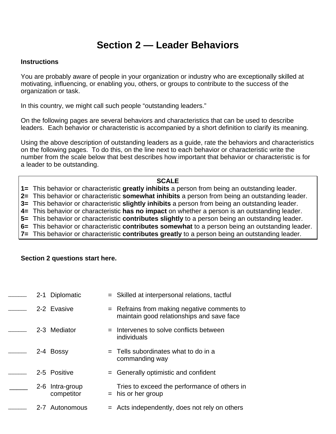### **Section 2 — Leader Behaviors**

### **Instructions**

You are probably aware of people in your organization or industry who are exceptionally skilled at motivating, influencing, or enabling you, others, or groups to contribute to the success of the organization or task.

In this country, we might call such people "outstanding leaders."

On the following pages are several behaviors and characteristics that can be used to describe leaders. Each behavior or characteristic is accompanied by a short definition to clarify its meaning.

Using the above description of outstanding leaders as a guide, rate the behaviors and characteristics on the following pages. To do this, on the line next to each behavior or characteristic write the number from the scale below that best describes how important that behavior or characteristic is for a leader to be outstanding.

### **SCALE**

**1=** This behavior or characteristic **greatly inhibits** a person from being an outstanding leader. **2=** This behavior or characteristic **somewhat inhibits** a person from being an outstanding leader. **3=** This behavior or characteristic **slightly inhibits** a person from being an outstanding leader. **4=** This behavior or characteristic **has no impact** on whether a person is an outstanding leader. **5=** This behavior or characteristic **contributes slightly** to a person being an outstanding leader. **6=** This behavior or characteristic **contributes somewhat** to a person being an outstanding leader. **7=** This behavior or characteristic **contributes greatly** to a person being an outstanding leader.

### **Section 2 questions start here.**

| $2 - 1$ | Diplomatic                | = Skilled at interpersonal relations, tactful                                              |
|---------|---------------------------|--------------------------------------------------------------------------------------------|
|         | 2-2 Evasive               | $=$ Refrains from making negative comments to<br>maintain good relationships and save face |
|         | 2-3 Mediator              | = Intervenes to solve conflicts between<br>individuals                                     |
|         | 2-4 Bossy                 | $=$ Tells subordinates what to do in a<br>commanding way                                   |
|         | 2-5 Positive              | $=$ Generally optimistic and confident                                                     |
| $2 - 6$ | Intra-group<br>competitor | Tries to exceed the performance of others in<br>$=$ his or her group                       |
|         | 2-7 Autonomous            | $=$ Acts independently, does not rely on others                                            |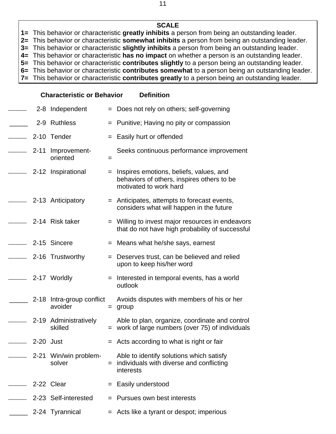**1=** This behavior or characteristic **greatly inhibits** a person from being an outstanding leader.

**2=** This behavior or characteristic **somewhat inhibits** a person from being an outstanding leader.

**3=** This behavior or characteristic **slightly inhibits** a person from being an outstanding leader.

**4=** This behavior or characteristic **has no impact** on whether a person is an outstanding leader.

**5=** This behavior or characteristic **contributes slightly** to a person being an outstanding leader.

**6=** This behavior or characteristic **contributes somewhat** to a person being an outstanding leader.

**7=** This behavior or characteristic **contributes greatly** to a person being an outstanding leader.

|           | 2-8 Independent                      |   | = Does not rely on others; self-governing                                                                         |
|-----------|--------------------------------------|---|-------------------------------------------------------------------------------------------------------------------|
|           | 2-9 Ruthless                         |   | $=$ Punitive; Having no pity or compassion                                                                        |
|           | 2-10 Tender                          |   | $=$ Easily hurt or offended                                                                                       |
|           | 2-11 Improvement-<br>oriented        | = | Seeks continuous performance improvement                                                                          |
|           | 2-12 Inspirational                   |   | = Inspires emotions, beliefs, values, and<br>behaviors of others, inspires others to be<br>motivated to work hard |
|           | 2-13 Anticipatory                    |   | = Anticipates, attempts to forecast events,<br>considers what will happen in the future                           |
|           | 2-14 Risk taker                      |   | = Willing to invest major resources in endeavors<br>that do not have high probability of successful               |
|           | 2-15 Sincere                         |   | = Means what he/she says, earnest                                                                                 |
|           | 2-16 Trustworthy                     |   | = Deserves trust, can be believed and relied<br>upon to keep his/her word                                         |
|           | 2-17 Worldly                         |   | $=$ Interested in temporal events, has a world<br>outlook                                                         |
|           | 2-18 Intra-group conflict<br>avoider |   | Avoids disputes with members of his or her<br>$=$ group                                                           |
|           | 2-19 Administratively<br>skilled     |   | Able to plan, organize, coordinate and control<br>$=$ work of large numbers (over 75) of individuals              |
| 2-20 Just |                                      |   | $=$ Acts according to what is right or fair                                                                       |
|           | 2-21 Win/win problem-<br>solver      |   | Able to identify solutions which satisfy<br>individuals with diverse and conflicting<br>interests                 |
|           | 2-22 Clear                           |   | = Easily understood                                                                                               |
|           | 2-23 Self-interested                 |   | $=$ Pursues own best interests                                                                                    |
|           | 2-24 Tyrannical                      |   | = Acts like a tyrant or despot; imperious                                                                         |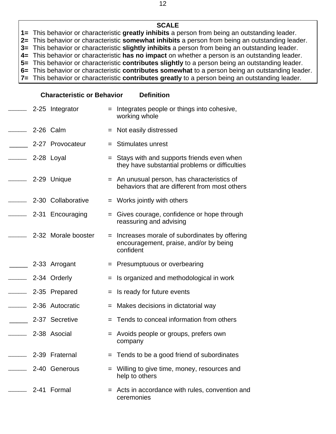**1=** This behavior or characteristic **greatly inhibits** a person from being an outstanding leader.

**2=** This behavior or characteristic **somewhat inhibits** a person from being an outstanding leader.

**3=** This behavior or characteristic **slightly inhibits** a person from being an outstanding leader.

**4=** This behavior or characteristic **has no impact** on whether a person is an outstanding leader.

**5=** This behavior or characteristic **contributes slightly** to a person being an outstanding leader. **6=** This behavior or characteristic **contributes somewhat** to a person being an outstanding leader.

**7=** This behavior or characteristic **contributes greatly** to a person being an outstanding leader.

|                          | 2-25 Integrator      |     | $=$ Integrates people or things into cohesive,<br>working whole                                       |
|--------------------------|----------------------|-----|-------------------------------------------------------------------------------------------------------|
| $\overline{\phantom{a}}$ | 2-26 Calm            |     | = Not easily distressed                                                                               |
|                          | 2-27 Provocateur     |     | $=$ Stimulates unrest                                                                                 |
|                          | —— 2-28 Loyal        |     | $=$ Stays with and supports friends even when<br>they have substantial problems or difficulties       |
|                          | —— 2-29 Unique       |     | = An unusual person, has characteristics of<br>behaviors that are different from most others          |
|                          | - 2-30 Collaborative |     | $=$ Works jointly with others                                                                         |
| $\overline{\phantom{a}}$ | 2-31 Encouraging     |     | $=$ Gives courage, confidence or hope through<br>reassuring and advising                              |
|                          | 2-32 Morale booster  |     | = Increases morale of subordinates by offering<br>encouragement, praise, and/or by being<br>confident |
|                          | 2-33 Arrogant        |     | = Presumptuous or overbearing                                                                         |
| $\overline{\phantom{a}}$ | 2-34 Orderly         | $=$ | Is organized and methodological in work                                                               |
|                          | 2-35 Prepared        |     | $=$ Is ready for future events                                                                        |
|                          | 2-36 Autocratic      | $=$ | Makes decisions in dictatorial way                                                                    |
|                          | 2-37 Secretive       |     | = Tends to conceal information from others                                                            |
|                          | 2-38 Asocial         |     | = Avoids people or groups, prefers own<br>company                                                     |
|                          | 2-39 Fraternal       |     | $=$ Tends to be a good friend of subordinates                                                         |
|                          | 2-40 Generous        |     | Willing to give time, money, resources and<br>help to others                                          |
|                          | 2-41 Formal          |     | = Acts in accordance with rules, convention and<br>ceremonies                                         |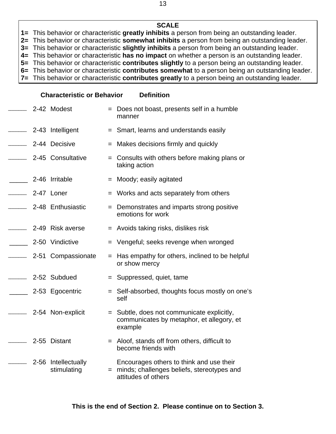**1=** This behavior or characteristic **greatly inhibits** a person from being an outstanding leader.

**2=** This behavior or characteristic **somewhat inhibits** a person from being an outstanding leader.

**3=** This behavior or characteristic **slightly inhibits** a person from being an outstanding leader.

**4=** This behavior or characteristic **has no impact** on whether a person is an outstanding leader.

**5=** This behavior or characteristic **contributes slightly** to a person being an outstanding leader. **6=** This behavior or characteristic **contributes somewhat** to a person being an outstanding leader.

**7=** This behavior or characteristic **contributes greatly** to a person being an outstanding leader.

|               | 2-42 Modest                        | = Does not boast, presents self in a humble<br>manner                                                           |
|---------------|------------------------------------|-----------------------------------------------------------------------------------------------------------------|
| $\mathcal{L}$ | 2-43 Intelligent                   | = Smart, learns and understands easily                                                                          |
|               | 2-44 Decisive                      | = Makes decisions firmly and quickly                                                                            |
|               | 2-45 Consultative                  | $=$ Consults with others before making plans or<br>taking action                                                |
|               | 2-46 Irritable                     | = Moody; easily agitated                                                                                        |
|               | 2-47 Loner                         | = Works and acts separately from others                                                                         |
|               | 2-48 Enthusiastic                  | = Demonstrates and imparts strong positive<br>emotions for work                                                 |
|               | 2-49 Risk averse                   | = Avoids taking risks, dislikes risk                                                                            |
|               | 2-50 Vindictive                    | = Vengeful; seeks revenge when wronged                                                                          |
|               | 2-51 Compassionate                 | = Has empathy for others, inclined to be helpful<br>or show mercy                                               |
|               | 2-52 Subdued                       | = Suppressed, quiet, tame                                                                                       |
|               | 2-53 Egocentric                    | = Self-absorbed, thoughts focus mostly on one's<br>self                                                         |
|               | 2-54 Non-explicit                  | = Subtle, does not communicate explicitly,<br>communicates by metaphor, et allegory, et<br>example              |
|               | 2-55 Distant                       | = Aloof, stands off from others, difficult to<br>become friends with                                            |
|               | 2-56 Intellectually<br>stimulating | Encourages others to think and use their<br>= minds; challenges beliefs, stereotypes and<br>attitudes of others |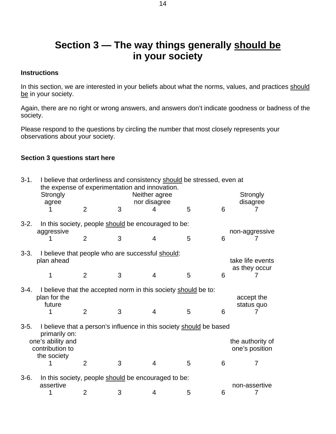### **Section 3 — The way things generally should be in your society**

### **Instructions**

In this section, we are interested in your beliefs about what the norms, values, and practices should be in your society.

Again, there are no right or wrong answers, and answers don't indicate goodness or badness of the society.

Please respond to the questions by circling the number that most closely represents your observations about your society.

### **Section 3 questions start here**

| $3-1.$                                                                                             | I believe that orderliness and consistency should be stressed, even at<br>the expense of experimentation and innovation.<br>Strongly<br>agree |                                                                   | Strongly<br>disagree |                   |   |   |                                    |  |  |  |  |
|----------------------------------------------------------------------------------------------------|-----------------------------------------------------------------------------------------------------------------------------------------------|-------------------------------------------------------------------|----------------------|-------------------|---|---|------------------------------------|--|--|--|--|
|                                                                                                    |                                                                                                                                               | 2                                                                 | 3                    | nor disagree<br>4 | 5 | 6 |                                    |  |  |  |  |
| $3-2.$                                                                                             |                                                                                                                                               | In this society, people should be encouraged to be:<br>aggressive |                      |                   |   |   |                                    |  |  |  |  |
|                                                                                                    |                                                                                                                                               | $\overline{2}$                                                    | 3                    | 4                 | 5 | 6 | non-aggressive                     |  |  |  |  |
| $3 - 3$ .                                                                                          | I believe that people who are successful should:<br>plan ahead                                                                                |                                                                   |                      |                   |   |   | take life events<br>as they occur  |  |  |  |  |
|                                                                                                    | 1                                                                                                                                             | $\overline{2}$                                                    | 3                    | 4                 | 5 | 6 |                                    |  |  |  |  |
| $3-4.$<br>I believe that the accepted norm in this society should be to:<br>plan for the<br>future |                                                                                                                                               |                                                                   |                      |                   |   |   | accept the<br>status quo           |  |  |  |  |
|                                                                                                    |                                                                                                                                               | $\overline{2}$                                                    | 3                    | 4                 | 5 | 6 |                                    |  |  |  |  |
| $3-5.$                                                                                             | I believe that a person's influence in this society should be based<br>primarily on:                                                          |                                                                   |                      |                   |   |   |                                    |  |  |  |  |
|                                                                                                    | one's ability and<br>contribution to                                                                                                          |                                                                   |                      |                   |   |   | the authority of<br>one's position |  |  |  |  |
|                                                                                                    | the society                                                                                                                                   | $\overline{2}$                                                    | 3                    | 4                 | 5 | 6 | 7                                  |  |  |  |  |
| $3-6.$                                                                                             | In this society, people should be encouraged to be:                                                                                           |                                                                   |                      |                   |   |   |                                    |  |  |  |  |
|                                                                                                    | assertive                                                                                                                                     | 2                                                                 | 3                    | 4                 | 5 | 6 | non-assertive<br>7                 |  |  |  |  |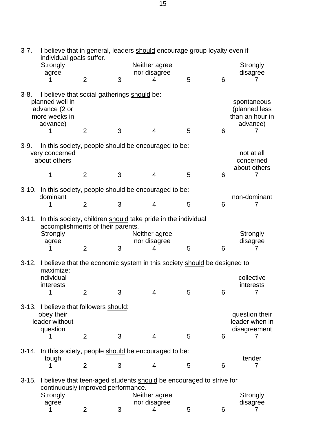| $3-7.$    | I believe that in general, leaders should encourage group loyalty even if<br>individual goals suffer.             |                |   |                               |   |   |                                                                  |
|-----------|-------------------------------------------------------------------------------------------------------------------|----------------|---|-------------------------------|---|---|------------------------------------------------------------------|
|           | Strongly<br>agree                                                                                                 |                |   | Neither agree<br>nor disagree |   |   | Strongly<br>disagree                                             |
|           |                                                                                                                   | $\overline{2}$ | 3 | 4                             | 5 | 6 | 7                                                                |
| $3-8.$    | I believe that social gatherings should be:<br>planned well in<br>advance (2 or<br>more weeks in<br>advance)<br>1 | $\overline{2}$ | 3 | $\overline{4}$                | 5 | 6 | spontaneous<br>(planned less<br>than an hour in<br>advance)<br>7 |
| $3-9.$    | In this society, people should be encouraged to be:<br>very concerned<br>about others                             |                |   |                               |   |   | not at all<br>concerned<br>about others                          |
|           | 1                                                                                                                 | $\overline{2}$ | 3 | $\overline{4}$                | 5 | 6 | 7                                                                |
|           | 3-10. In this society, people should be encouraged to be:<br>dominant                                             |                |   |                               |   |   | non-dominant                                                     |
|           | 1                                                                                                                 | $\overline{2}$ | 3 | $\overline{4}$                | 5 | 6 | 7                                                                |
| $3 - 11.$ | In this society, children should take pride in the individual<br>accomplishments of their parents.                |                |   |                               |   |   |                                                                  |
|           | Strongly<br>agree                                                                                                 |                |   | Neither agree<br>nor disagree |   |   | Strongly<br>disagree                                             |
|           | 1                                                                                                                 | $\overline{2}$ | 3 | 4                             | 5 | 6 | 7                                                                |
|           | 3-12. I believe that the economic system in this society should be designed to<br>maximize:                       |                |   |                               |   |   |                                                                  |
|           | individual<br>interests<br>$\mathbf{1}$                                                                           | 2              | 3 | $\overline{4}$                | 5 | 6 | collective<br>interests                                          |
|           | 3-13. I believe that followers should:                                                                            |                |   |                               |   |   |                                                                  |
|           | obey their<br>leader without<br>question                                                                          |                |   |                               |   |   | question their<br>leader when in<br>disagreement                 |
|           | 1                                                                                                                 | $\overline{2}$ | 3 | $\overline{4}$                | 5 | 6 | 7                                                                |
| $3-14.$   | In this society, people should be encouraged to be:<br>tough                                                      |                |   |                               |   |   | tender                                                           |
|           | 1                                                                                                                 | $\overline{2}$ | 3 | 4                             | 5 | 6 | 7                                                                |
| $3 - 15.$ | I believe that teen-aged students should be encouraged to strive for<br>continuously improved performance.        |                |   |                               |   |   |                                                                  |
|           | Strongly<br>agree                                                                                                 |                |   | Neither agree<br>nor disagree |   |   | Strongly<br>disagree                                             |
|           | 1                                                                                                                 | $\overline{2}$ | 3 | 4                             | 5 | 6 | 7                                                                |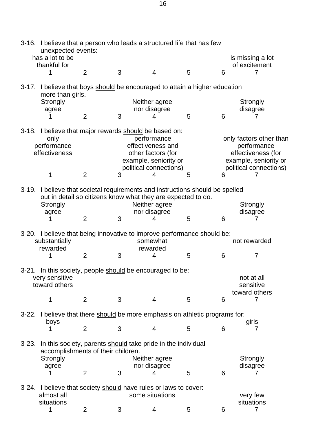| 3-16. I believe that a person who leads a structured life that has few<br>unexpected events:<br>has a lot to be                                                                                                                 |   |   |                                                                                                                 |
|---------------------------------------------------------------------------------------------------------------------------------------------------------------------------------------------------------------------------------|---|---|-----------------------------------------------------------------------------------------------------------------|
| thankful for                                                                                                                                                                                                                    |   |   | is missing a lot<br>of excitement                                                                               |
| $\overline{2}$<br>3<br>$\overline{4}$<br>1                                                                                                                                                                                      | 5 | 6 | 7                                                                                                               |
| $3-17.$<br>I believe that boys should be encouraged to attain a higher education<br>more than girls.                                                                                                                            |   |   |                                                                                                                 |
| Strongly<br>Neither agree<br>nor disagree<br>agree                                                                                                                                                                              |   |   | Strongly<br>disagree                                                                                            |
| $\overline{2}$<br>3<br>4                                                                                                                                                                                                        | 5 | 6 | 7                                                                                                               |
| 3-18. I believe that major rewards should be based on:<br>performance<br>only<br>effectiveness and<br>performance<br>effectiveness<br>other factors (for<br>example, seniority or<br>political connections)                     |   |   | only factors other than<br>performance<br>effectiveness (for<br>example, seniority or<br>political connections) |
| $\overline{2}$<br>1<br>3<br>4                                                                                                                                                                                                   | 5 | 6 | 7                                                                                                               |
| 3-19. I believe that societal requirements and instructions should be spelled<br>out in detail so citizens know what they are expected to do.<br>Neither agree<br>Strongly<br>nor disagree<br>agree<br>$\overline{2}$<br>3<br>4 | 5 | 6 | Strongly<br>disagree<br>7                                                                                       |
| 3-20. I believe that being innovative to improve performance should be:<br>substantially<br>somewhat<br>rewarded<br>rewarded                                                                                                    |   |   | not rewarded                                                                                                    |
| $\overline{2}$<br>3<br>4<br>1                                                                                                                                                                                                   | 5 | 6 | $\overline{7}$                                                                                                  |
| 3-21. In this society, people should be encouraged to be:<br>very sensitive<br>toward others                                                                                                                                    |   |   | not at all<br>sensitive<br>toward others                                                                        |
| $\overline{2}$<br>$\overline{4}$<br>1<br>3                                                                                                                                                                                      | 5 | 6 | 7                                                                                                               |
| I believe that there should be more emphasis on athletic programs for:<br>$3 - 22.$<br>boys                                                                                                                                     |   |   | girls                                                                                                           |
| $\overline{2}$<br>$\overline{4}$<br>3<br>1                                                                                                                                                                                      | 5 | 6 | 7                                                                                                               |
| In this society, parents should take pride in the individual<br>$3 - 23.$<br>accomplishments of their children.<br>Neither agree<br>Strongly                                                                                    |   |   | Strongly                                                                                                        |
| nor disagree<br>agree<br>$\overline{2}$<br>3<br>4                                                                                                                                                                               | 5 | 6 | disagree<br>7                                                                                                   |
| I believe that society should have rules or laws to cover:<br>$3-24.$<br>some situations<br>almost all                                                                                                                          |   |   | very few                                                                                                        |
| situations<br>1<br>$\overline{2}$<br>3<br>4                                                                                                                                                                                     | 5 | 6 | situations<br>7                                                                                                 |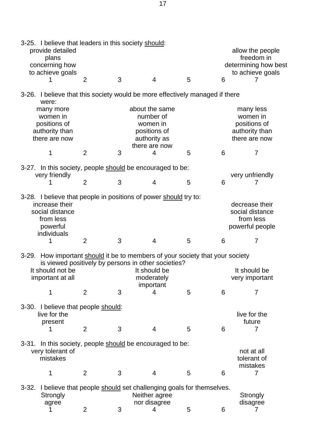| 3-25. I believe that leaders in this society should:<br>provide detailed<br>plans<br>concerning how<br>to achieve goals                       |                |   |                                                                                                     |   |   | allow the people<br>freedom in<br>determining how best<br>to achieve goals |
|-----------------------------------------------------------------------------------------------------------------------------------------------|----------------|---|-----------------------------------------------------------------------------------------------------|---|---|----------------------------------------------------------------------------|
| 1                                                                                                                                             | $\overline{2}$ | 3 | $\overline{4}$                                                                                      | 5 | 6 | 7                                                                          |
| 3-26. I believe that this society would be more effectively managed if there<br>were:                                                         |                |   |                                                                                                     |   |   |                                                                            |
| many more<br>women in<br>positions of<br>authority than<br>there are now                                                                      |                |   | about the same<br>number of<br>women in<br>positions of<br>authority as<br>there are now            |   |   | many less<br>women in<br>positions of<br>authority than<br>there are now   |
| 1                                                                                                                                             | $\overline{2}$ | 3 | 4                                                                                                   | 5 | 6 | $\overline{7}$                                                             |
| 3-27. In this society, people should be encouraged to be:                                                                                     |                |   |                                                                                                     |   |   |                                                                            |
| very friendly                                                                                                                                 | $\overline{2}$ | 3 | $\overline{4}$                                                                                      | 5 | 6 | very unfriendly                                                            |
| 3-28. I believe that people in positions of power should try to:<br>increase their<br>social distance<br>from less<br>powerful<br>individuals |                |   |                                                                                                     |   |   | decrease their<br>social distance<br>from less<br>powerful people          |
| 1                                                                                                                                             | $\overline{2}$ | 3 | $\overline{4}$                                                                                      | 5 | 6 | 7                                                                          |
| 3-29. How important should it be to members of your society that your society<br>It should not be<br>important at all<br>1                    | 2              | 3 | is viewed positively by persons in other societies?<br>It should be<br>moderately<br>important<br>4 | 5 | 6 | It should be<br>very important<br>7                                        |
| 3-30. I believe that people should:<br>live for the<br>present<br>1                                                                           | $\overline{2}$ | 3 | $\overline{4}$                                                                                      | 5 | 6 | live for the<br>future<br>$\overline{7}$                                   |
| 3-31. In this society, people should be encouraged to be:<br>very tolerant of<br>mistakes                                                     |                |   |                                                                                                     |   |   | not at all<br>tolerant of                                                  |
| 1                                                                                                                                             | $\overline{2}$ | 3 | $\overline{4}$                                                                                      | 5 | 6 | mistakes<br>7                                                              |
| 3-32. I believe that people should set challenging goals for themselves.<br>Strongly<br>agree                                                 | $\overline{2}$ | 3 | Neither agree<br>nor disagree<br>4                                                                  | 5 | 6 | Strongly<br>disagree<br>7                                                  |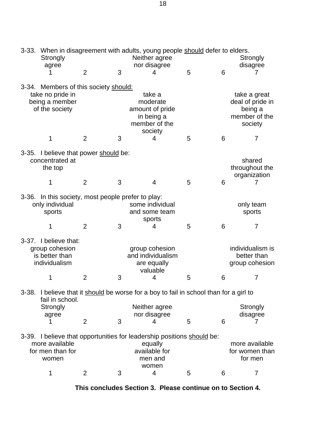|      | Strongly<br>agree                                                                             |                |   | Neither agree<br>nor disagree                                                                                          | 3-33. When in disagreement with adults, young people should defer to elders.<br>Strongly<br>disagree |   |                                                                         |
|------|-----------------------------------------------------------------------------------------------|----------------|---|------------------------------------------------------------------------------------------------------------------------|------------------------------------------------------------------------------------------------------|---|-------------------------------------------------------------------------|
|      |                                                                                               | $\overline{2}$ | 3 | 4                                                                                                                      | 5                                                                                                    | 6 | <sup>'</sup>                                                            |
|      | 3-34. Members of this society should:<br>take no pride in<br>being a member<br>of the society |                |   | take a<br>moderate<br>amount of pride<br>in being a<br>member of the                                                   |                                                                                                      |   | take a great<br>deal of pride in<br>being a<br>member of the<br>society |
|      | 1                                                                                             | $\overline{2}$ | 3 | society<br>4                                                                                                           | 5                                                                                                    | 6 | 7                                                                       |
|      | 3-35. I believe that power should be:<br>concentrated at<br>the top                           |                |   |                                                                                                                        |                                                                                                      |   | shared<br>throughout the<br>organization                                |
|      | 1                                                                                             | 2              | 3 | $\overline{4}$                                                                                                         | 5                                                                                                    | 6 |                                                                         |
|      | 3-36. In this society, most people prefer to play:<br>only individual<br>sports               |                |   | some individual<br>and some team<br>sports                                                                             |                                                                                                      |   | only team<br>sports                                                     |
|      | 1                                                                                             | $\overline{2}$ | 3 | 4                                                                                                                      | 5                                                                                                    | 6 | $\overline{7}$                                                          |
|      | 3-37. I believe that:<br>group cohesion<br>is better than<br>individualism                    |                |   | group cohesion<br>and individualism<br>are equally<br>valuable                                                         |                                                                                                      |   | individualism is<br>better than<br>group cohesion                       |
|      | 1                                                                                             | $\overline{2}$ | 3 | 4                                                                                                                      | 5                                                                                                    | 6 | 7                                                                       |
| ·38. | fail in school.                                                                               |                |   | I believe that it should be worse for a boy to fail in school than for a girl to                                       |                                                                                                      |   |                                                                         |
|      | Strongly<br>agree                                                                             |                |   | Neither agree<br>nor disagree                                                                                          |                                                                                                      |   | Strongly<br>disagree                                                    |
|      |                                                                                               | $\overline{2}$ | 3 | 4                                                                                                                      | 5                                                                                                    | 6 | 7                                                                       |
|      | more available<br>for men than for<br>women                                                   |                |   | 3-39. I believe that opportunities for leadership positions should be:<br>equally<br>available for<br>men and<br>women |                                                                                                      |   | more available<br>for women than<br>for men                             |
|      | 1                                                                                             | $\overline{2}$ | 3 | 4                                                                                                                      | 5                                                                                                    | 6 | 7                                                                       |

**This concludes Section 3. Please continue on to Section 4.**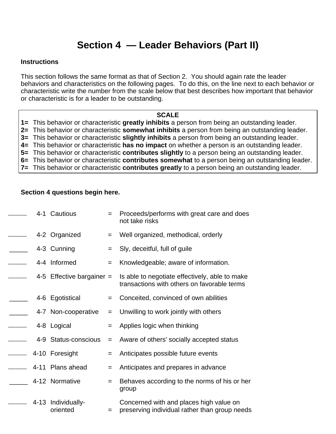### **Section 4 — Leader Behaviors (Part II)**

### **Instructions**

This section follows the same format as that of Section 2. You should again rate the leader behaviors and characteristics on the following pages. To do this, on the line next to each behavior or characteristic write the number from the scale below that best describes how important that behavior or characteristic is for a leader to be outstanding.

#### **SCALE**

**1=** This behavior or characteristic **greatly inhibits** a person from being an outstanding leader.

**2=** This behavior or characteristic **somewhat inhibits** a person from being an outstanding leader.

**3=** This behavior or characteristic **slightly inhibits** a person from being an outstanding leader.

**4=** This behavior or characteristic **has no impact** on whether a person is an outstanding leader.

**5=** This behavior or characteristic **contributes slightly** to a person being an outstanding leader.

**6=** This behavior or characteristic **contributes somewhat** to a person being an outstanding leader.

**7=** This behavior or characteristic **contributes greatly** to a person being an outstanding leader.

### **Section 4 questions begin here.**

|  | 4-1 Cautious                   | $=$ | Proceeds/performs with great care and does<br>not take risks                                  |
|--|--------------------------------|-----|-----------------------------------------------------------------------------------------------|
|  | 4-2 Organized                  | $=$ | Well organized, methodical, orderly                                                           |
|  | 4-3 Cunning                    | $=$ | Sly, deceitful, full of guile                                                                 |
|  | 4-4 Informed                   | $=$ | Knowledgeable; aware of information.                                                          |
|  | 4-5 Effective bargainer $=$    |     | Is able to negotiate effectively, able to make<br>transactions with others on favorable terms |
|  | 4-6 Egotistical                | $=$ | Conceited, convinced of own abilities                                                         |
|  | 4-7 Non-cooperative            | $=$ | Unwilling to work jointly with others                                                         |
|  | 4-8 Logical                    | $=$ | Applies logic when thinking                                                                   |
|  | 4-9 Status-conscious           | $=$ | Aware of others' socially accepted status                                                     |
|  | 4-10 Foresight                 | $=$ | Anticipates possible future events                                                            |
|  | 4-11 Plans ahead               | $=$ | Anticipates and prepares in advance                                                           |
|  | 4-12 Normative                 | $=$ | Behaves according to the norms of his or her<br>group                                         |
|  | 4-13 Individually-<br>oriented | $=$ | Concerned with and places high value on<br>preserving individual rather than group needs      |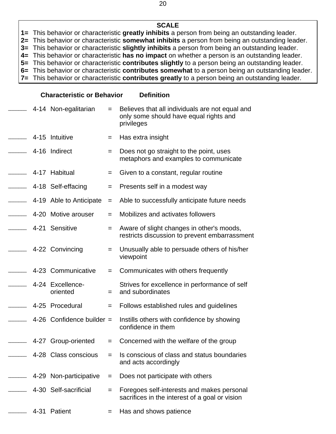### **SCALE**

**1=** This behavior or characteristic **greatly inhibits** a person from being an outstanding leader.

**2=** This behavior or characteristic **somewhat inhibits** a person from being an outstanding leader.

**3=** This behavior or characteristic **slightly inhibits** a person from being an outstanding leader. **4=** This behavior or characteristic **has no impact** on whether a person is an outstanding leader.

**5=** This behavior or characteristic **contributes slightly** to a person being an outstanding leader.

**6=** This behavior or characteristic **contributes somewhat** to a person being an outstanding leader.

**7=** This behavior or characteristic **contributes greatly** to a person being an outstanding leader.

|          | 4-14 Non-egalitarian         | $=$ | Believes that all individuals are not equal and<br>only some should have equal rights and<br>privileges |
|----------|------------------------------|-----|---------------------------------------------------------------------------------------------------------|
|          | 4-15 Intuitive               | $=$ | Has extra insight                                                                                       |
|          | 4-16 Indirect                | $=$ | Does not go straight to the point, uses<br>metaphors and examples to communicate                        |
|          | 4-17 Habitual                | $=$ | Given to a constant, regular routine                                                                    |
|          | 4-18 Self-effacing           | $=$ | Presents self in a modest way                                                                           |
|          | 4-19 Able to Anticipate      | $=$ | Able to successfully anticipate future needs                                                            |
|          | 4-20 Motive arouser          | $=$ | Mobilizes and activates followers                                                                       |
|          | 4-21 Sensitive               | $=$ | Aware of slight changes in other's moods,<br>restricts discussion to prevent embarrassment              |
|          | 4-22 Convincing              | $=$ | Unusually able to persuade others of his/her<br>viewpoint                                               |
|          | 4-23 Communicative           | $=$ | Communicates with others frequently                                                                     |
|          | 4-24 Excellence-<br>oriented | $=$ | Strives for excellence in performance of self<br>and subordinates                                       |
|          | 4-25 Procedural              | $=$ | Follows established rules and guidelines                                                                |
|          | 4-26 Confidence builder $=$  |     | Instills others with confidence by showing<br>confidence in them                                        |
|          | 4-27 Group-oriented          | $=$ | Concerned with the welfare of the group                                                                 |
|          | 4-28 Class conscious         |     | Is conscious of class and status boundaries<br>and acts accordingly                                     |
|          | 4-29 Non-participative       | $=$ | Does not participate with others                                                                        |
|          | 4-30 Self-sacrificial        | $=$ | Foregoes self-interests and makes personal<br>sacrifices in the interest of a goal or vision            |
| $4 - 31$ | Patient                      | $=$ | Has and shows patience                                                                                  |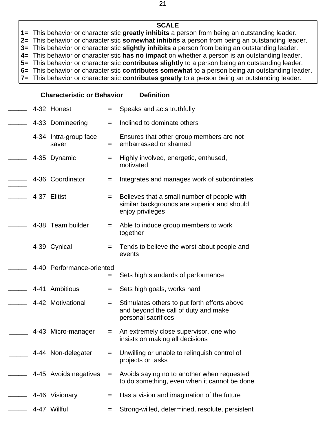**1=** This behavior or characteristic **greatly inhibits** a person from being an outstanding leader.

**2=** This behavior or characteristic **somewhat inhibits** a person from being an outstanding leader.

**3=** This behavior or characteristic **slightly inhibits** a person from being an outstanding leader.

**4=** This behavior or characteristic **has no impact** on whether a person is an outstanding leader.

**5=** This behavior or characteristic **contributes slightly** to a person being an outstanding leader.

**6=** This behavior or characteristic **contributes somewhat** to a person being an outstanding leader. **7=** This behavior or characteristic **contributes greatly** to a person being an outstanding leader.

|  | 4-32 Honest                    | $=$ | Speaks and acts truthfully                                                                                     |
|--|--------------------------------|-----|----------------------------------------------------------------------------------------------------------------|
|  | 4-33 Domineering               | $=$ | Inclined to dominate others                                                                                    |
|  | 4-34 Intra-group face<br>saver | $=$ | Ensures that other group members are not<br>embarrassed or shamed                                              |
|  | 4-35 Dynamic                   | $=$ | Highly involved, energetic, enthused,<br>motivated                                                             |
|  | 4-36 Coordinator               | $=$ | Integrates and manages work of subordinates                                                                    |
|  | 4-37 Elitist                   | $=$ | Believes that a small number of people with<br>similar backgrounds are superior and should<br>enjoy privileges |
|  | 4-38 Team builder              | $=$ | Able to induce group members to work<br>together                                                               |
|  | 4-39 Cynical                   | $=$ | Tends to believe the worst about people and<br>events                                                          |
|  |                                |     |                                                                                                                |
|  | 4-40 Performance-oriented      | =   | Sets high standards of performance                                                                             |
|  | 4-41 Ambitious                 | $=$ | Sets high goals, works hard                                                                                    |
|  | 4-42 Motivational              | $=$ | Stimulates others to put forth efforts above<br>and beyond the call of duty and make<br>personal sacrifices    |
|  | 4-43 Micro-manager             | $=$ | An extremely close supervisor, one who<br>insists on making all decisions                                      |
|  | 4-44 Non-delegater             |     | Unwilling or unable to relinquish control of<br>projects or tasks                                              |
|  | 4-45 Avoids negatives          | $=$ | Avoids saying no to another when requested<br>to do something, even when it cannot be done                     |
|  | 4-46 Visionary                 | =   | Has a vision and imagination of the future                                                                     |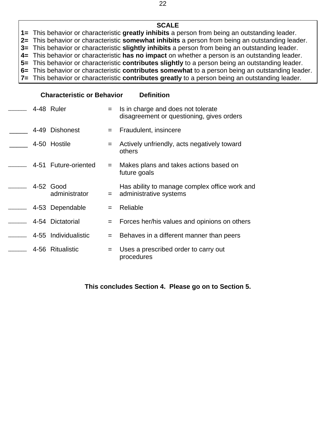**1=** This behavior or characteristic **greatly inhibits** a person from being an outstanding leader.

**2=** This behavior or characteristic **somewhat inhibits** a person from being an outstanding leader.

**3=** This behavior or characteristic **slightly inhibits** a person from being an outstanding leader.

**4=** This behavior or characteristic **has no impact** on whether a person is an outstanding leader.

**5=** This behavior or characteristic **contributes slightly** to a person being an outstanding leader.

**6=** This behavior or characteristic **contributes somewhat** to a person being an outstanding leader. **7=** This behavior or characteristic **contributes greatly** to a person being an outstanding leader.

### **Characteristic or Behavior Definition**

|  | 4-48 Ruler                 | $=$ | Is in charge and does not tolerate<br>disagreement or questioning, gives orders |
|--|----------------------------|-----|---------------------------------------------------------------------------------|
|  | 4-49 Dishonest             | $=$ | Fraudulent, insincere                                                           |
|  | 4-50 Hostile               | $=$ | Actively unfriendly, acts negatively toward<br>others                           |
|  | 4-51 Future-oriented       | $=$ | Makes plans and takes actions based on<br>future goals                          |
|  | 4-52 Good<br>administrator | $=$ | Has ability to manage complex office work and<br>administrative systems         |
|  | 4-53 Dependable            | $=$ | Reliable                                                                        |
|  | 4-54 Dictatorial           |     | Forces her/his values and opinions on others                                    |
|  | 4-55 Individualistic       | $=$ | Behaves in a different manner than peers                                        |
|  | 4-56 Ritualistic           | $=$ | Uses a prescribed order to carry out<br>procedures                              |

**This concludes Section 4. Please go on to Section 5.**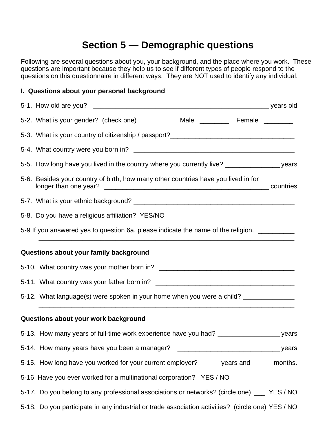### **Section 5 — Demographic questions**

Following are several questions about you, your background, and the place where you work. These questions are important because they help us to see if different types of people respond to the questions on this questionnaire in different ways. They are NOT used to identify any individual.

### **I. Questions about your personal background**

| 5-2. What is your gender? (check one)                                                             |  |
|---------------------------------------------------------------------------------------------------|--|
| 5-3. What is your country of citizenship / passport?_____________________________                 |  |
|                                                                                                   |  |
|                                                                                                   |  |
| 5-6. Besides your country of birth, how many other countries have you lived in for                |  |
|                                                                                                   |  |
| 5-8. Do you have a religious affiliation? YES/NO                                                  |  |
| 5-9 If you answered yes to question 6a, please indicate the name of the religion.                 |  |
| Questions about your family background                                                            |  |
|                                                                                                   |  |
|                                                                                                   |  |
| 5-12. What language(s) were spoken in your home when you were a child? __________                 |  |
| Questions about your work background                                                              |  |
|                                                                                                   |  |
|                                                                                                   |  |
| 5-15. How long have you worked for your current employer?______ years and _____ months.           |  |
| 5-16 Have you ever worked for a multinational corporation? YES / NO                               |  |
| 5-17. Do you belong to any professional associations or networks? (circle one) ___ YES / NO       |  |
| 5-18. Do you participate in any industrial or trade association activities? (circle one) YES / NO |  |